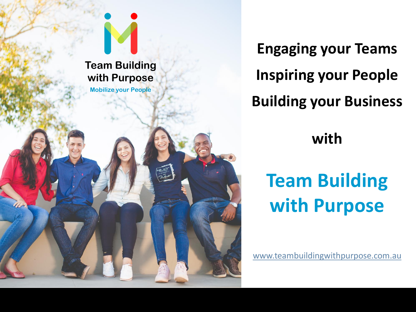# **Team Building with Purpose**

**Mobilize your People**

**Engaging your Teams Inspiring your People Building your Business**

# **with**

# **Team Building with Purpose**

[www.teambuildingwithpurpose.com.au](http://www.teambuildingwithpurpose.com.au/)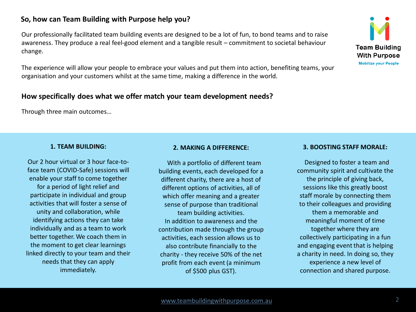# **So, how can Team Building with Purpose help you?**

Our professionally facilitated team building events are designed to be a lot of fun, to bond teams and to raise awareness. They produce a real feel-good element and a tangible result – commitment to societal behaviour change.

The experience will allow your people to embrace your values and put them into action, benefiting teams, your organisation and your customers whilst at the same time, making a difference in the world.

### **How specifically does what we offer match your team development needs?**

Through three main outcomes…

#### **1. TEAM BUILDING:**

Our 2 hour virtual or 3 hour face-toface team (COVID-Safe) sessions will enable your staff to come together for a period of light relief and participate in individual and group activities that will foster a sense of unity and collaboration, while identifying actions they can take individually and as a team to work better together. We coach them in the moment to get clear learnings linked directly to your team and their needs that they can apply immediately.

#### **2. MAKING A DIFFERENCE:**

With a portfolio of different team building events, each developed for a different charity, there are a host of different options of activities, all of which offer meaning and a greater sense of purpose than traditional team building activities. In addition to awareness and the contribution made through the group activities, each session allows us to also contribute financially to the charity - they receive 50% of the net profit from each event (a minimum of \$500 plus GST).

#### **3. BOOSTING STAFF MORALE:**

Designed to foster a team and community spirit and cultivate the the principle of giving back, sessions like this greatly boost staff morale by connecting them to their colleagues and providing them a memorable and meaningful moment of time together where they are collectively participating in a fun and engaging event that is helping a charity in need. In doing so, they experience a new level of connection and shared purpose.

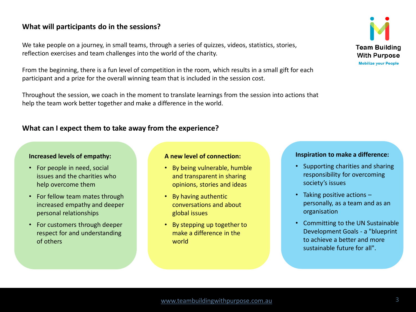## **What will participants do in the sessions?**

We take people on a journey, in small teams, through a series of quizzes, videos, statistics, stories, reflection exercises and team challenges into the world of the charity.

From the beginning, there is a fun level of competition in the room, which results in a small gift for each participant and a prize for the overall winning team that is included in the session cost.

Throughout the session, we coach in the moment to translate learnings from the session into actions that help the team work better together and make a difference in the world.

## **What can I expect them to take away from the experience?**

#### **Increased levels of empathy:**

- For people in need, social issues and the charities who help overcome them
- For fellow team mates through increased empathy and deeper personal relationships
- For customers through deeper respect for and understanding of others

#### **A new level of connection:**

- By being vulnerable, humble and transparent in sharing opinions, stories and ideas
- By having authentic conversations and about global issues
- By stepping up together to make a difference in the world

#### **Inspiration to make a difference:**

- Supporting charities and sharing responsibility for overcoming society's issues
- Taking positive actions personally, as a team and as an organisation
- Committing to the UN Sustainable Development Goals - a "blueprint to achieve a better and more sustainable future for all".